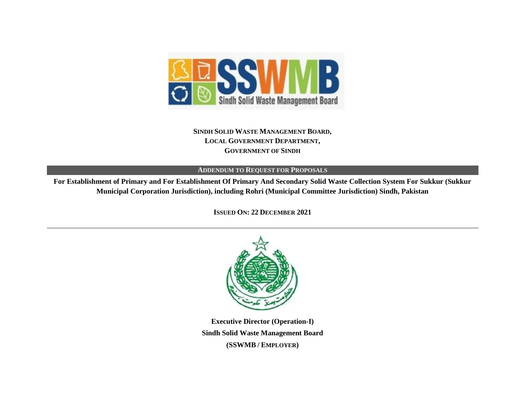

**SINDH SOLID WASTE MANAGEMENT BOARD, LOCAL GOVERNMENT DEPARTMENT, GOVERNMENT OF SINDH**

**ADDENDUM TO REQUEST FOR PROPOSALS**

**For Establishment of Primary and For Establishment Of Primary And Secondary Solid Waste Collection System For Sukkur (Sukkur Municipal Corporation Jurisdiction), including Rohri (Municipal Committee Jurisdiction) Sindh, Pakistan**

**ISSUED ON: 22 DECEMBER 2021**



**Executive Director (Operation-I) Sindh Solid Waste Management Board (SSWMB / EMPLOYER)**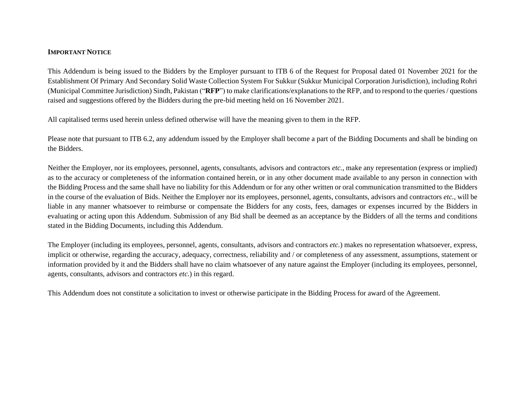## **IMPORTANT NOTICE**

This Addendum is being issued to the Bidders by the Employer pursuant to ITB 6 of the Request for Proposal dated 01 November 2021 for the Establishment Of Primary And Secondary Solid Waste Collection System For Sukkur (Sukkur Municipal Corporation Jurisdiction), including Rohri (Municipal Committee Jurisdiction) Sindh, Pakistan ("**RFP**") to make clarifications/explanations to the RFP, and to respond to the queries / questions raised and suggestions offered by the Bidders during the pre-bid meeting held on 16 November 2021.

All capitalised terms used herein unless defined otherwise will have the meaning given to them in the RFP.

Please note that pursuant to ITB 6.2, any addendum issued by the Employer shall become a part of the Bidding Documents and shall be binding on the Bidders.

Neither the Employer, nor its employees, personnel, agents, consultants, advisors and contractors *etc.*, make any representation (express or implied) as to the accuracy or completeness of the information contained herein, or in any other document made available to any person in connection with the Bidding Process and the same shall have no liability for this Addendum or for any other written or oral communication transmitted to the Bidders in the course of the evaluation of Bids. Neither the Employer nor its employees, personnel, agents, consultants, advisors and contractors *etc.*, will be liable in any manner whatsoever to reimburse or compensate the Bidders for any costs, fees, damages or expenses incurred by the Bidders in evaluating or acting upon this Addendum. Submission of any Bid shall be deemed as an acceptance by the Bidders of all the terms and conditions stated in the Bidding Documents, including this Addendum.

The Employer (including its employees, personnel, agents, consultants, advisors and contractors *etc.*) makes no representation whatsoever, express, implicit or otherwise, regarding the accuracy, adequacy, correctness, reliability and / or completeness of any assessment, assumptions, statement or information provided by it and the Bidders shall have no claim whatsoever of any nature against the Employer (including its employees, personnel, agents, consultants, advisors and contractors *etc.*) in this regard.

This Addendum does not constitute a solicitation to invest or otherwise participate in the Bidding Process for award of the Agreement.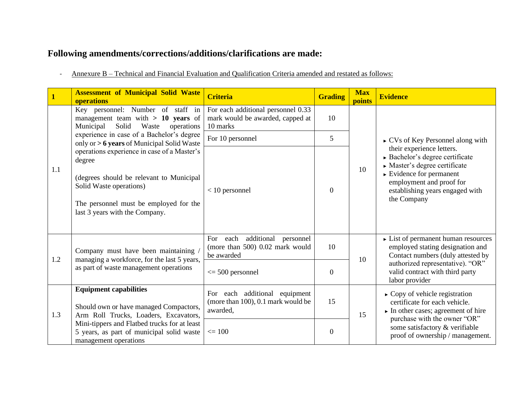## **Following amendments/corrections/additions/clarifications are made:**

- Annexure B – Technical and Financial Evaluation and Qualification Criteria amended and restated as follows:

|     | <b>Assessment of Municipal Solid Waste</b><br>operations                                                                                                                                                          | <b>Criteria</b>                                                                      | <b>Grading</b>   | <b>Max</b><br>points | <b>Evidence</b>                                                                                                                                                                                                      |
|-----|-------------------------------------------------------------------------------------------------------------------------------------------------------------------------------------------------------------------|--------------------------------------------------------------------------------------|------------------|----------------------|----------------------------------------------------------------------------------------------------------------------------------------------------------------------------------------------------------------------|
|     | Key personnel: Number of staff in<br>management team with $> 10$ years of<br>Solid<br>Waste<br>Municipal<br>operations<br>experience in case of a Bachelor's degree<br>only or > 6 years of Municipal Solid Waste | For each additional personnel 0.33<br>mark would be awarded, capped at<br>10 marks   | 10               |                      | $\triangleright$ CVs of Key Personnel along with                                                                                                                                                                     |
|     |                                                                                                                                                                                                                   | For 10 personnel                                                                     | 5                |                      |                                                                                                                                                                                                                      |
| 1.1 | operations experience in case of a Master's<br>degree<br>(degrees should be relevant to Municipal<br>Solid Waste operations)<br>The personnel must be employed for the<br>last 3 years with the Company.          | $<$ 10 personnel                                                                     | $\overline{0}$   | 10                   | their experience letters.<br>Bachelor's degree certificate<br>Master's degree certificate<br>$\triangleright$ Evidence for permanent<br>employment and proof for<br>establishing years engaged with<br>the Company   |
| 1.2 | Company must have been maintaining /<br>managing a workforce, for the last 5 years,                                                                                                                               | additional<br>For each<br>personnel<br>(more than 500) 0.02 mark would<br>be awarded | 10               | 10                   | $\triangleright$ List of permanent human resources<br>employed stating designation and<br>Contact numbers (duly attested by<br>authorized representative). "OR"<br>valid contract with third party<br>labor provider |
|     | as part of waste management operations                                                                                                                                                                            | $\leq$ 500 personnel                                                                 | $\mathbf{0}$     |                      |                                                                                                                                                                                                                      |
| 1.3 | <b>Equipment capabilities</b><br>Should own or have managed Compactors,<br>Arm Roll Trucks, Loaders, Excavators,                                                                                                  | For each additional<br>equipment<br>(more than 100), 0.1 mark would be<br>awarded,   | 15               | 15                   | $\triangleright$ Copy of vehicle registration<br>certificate for each vehicle.<br>$\triangleright$ In other cases; agreement of hire<br>purchase with the owner "OR"                                                 |
|     | Mini-tippers and Flatbed trucks for at least<br>5 years, as part of municipal solid waste<br>management operations                                                                                                | $\leq 100$                                                                           | $\boldsymbol{0}$ |                      | some satisfactory & verifiable<br>proof of ownership / management.                                                                                                                                                   |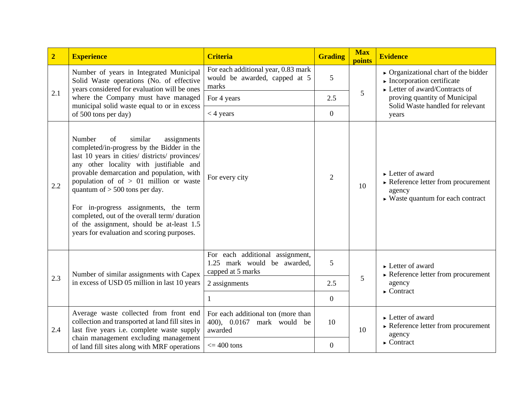| $\overline{2}$ | <b>Experience</b>                                                                                                                                                                                                                                                                                                                                                                                                                                                                                 | <b>Criteria</b>                                                                                      | <b>Grading</b>   | <b>Max</b><br>points | <b>Evidence</b>                                                                                                                                                                                                                       |
|----------------|---------------------------------------------------------------------------------------------------------------------------------------------------------------------------------------------------------------------------------------------------------------------------------------------------------------------------------------------------------------------------------------------------------------------------------------------------------------------------------------------------|------------------------------------------------------------------------------------------------------|------------------|----------------------|---------------------------------------------------------------------------------------------------------------------------------------------------------------------------------------------------------------------------------------|
|                | Number of years in Integrated Municipal<br>Solid Waste operations (No. of effective<br>years considered for evaluation will be ones<br>where the Company must have managed<br>municipal solid waste equal to or in excess<br>of 500 tons per day)                                                                                                                                                                                                                                                 | For each additional year, 0.83 mark<br>would be awarded, capped at 5<br>marks                        | 5                | 5                    | $\triangleright$ Organizational chart of the bidder<br>$\blacktriangleright$ Incorporation certificate<br>$\triangleright$ Letter of award/Contracts of<br>proving quantity of Municipal<br>Solid Waste handled for relevant<br>years |
| 2.1            |                                                                                                                                                                                                                                                                                                                                                                                                                                                                                                   | For 4 years                                                                                          | 2.5              |                      |                                                                                                                                                                                                                                       |
|                |                                                                                                                                                                                                                                                                                                                                                                                                                                                                                                   | $<$ 4 years                                                                                          | $\mathbf{0}$     |                      |                                                                                                                                                                                                                                       |
| 2.2            | Number<br>similar<br>of<br>assignments<br>completed/in-progress by the Bidder in the<br>last 10 years in cities/ districts/ provinces/<br>any other locality with justifiable and<br>provable demarcation and population, with<br>population of of $> 01$ million or waste<br>quantum of $> 500$ tons per day.<br>For in-progress assignments, the term<br>completed, out of the overall term/duration<br>of the assignment, should be at-least 1.5<br>years for evaluation and scoring purposes. | For every city                                                                                       | $\overline{2}$   | 10                   | $\triangleright$ Letter of award<br>$\triangleright$ Reference letter from procurement<br>agency<br>$\triangleright$ Waste quantum for each contract                                                                                  |
| 2.3            | Number of similar assignments with Capex<br>in excess of USD 05 million in last 10 years                                                                                                                                                                                                                                                                                                                                                                                                          | For each additional assignment,<br>1.25 mark would be awarded,<br>capped at 5 marks<br>2 assignments | 5<br>2.5         | 5                    | $\blacktriangleright$ Letter of award<br>$\triangleright$ Reference letter from procurement<br>agency<br>$\triangleright$ Contract                                                                                                    |
|                |                                                                                                                                                                                                                                                                                                                                                                                                                                                                                                   |                                                                                                      | $\mathbf{0}$     |                      |                                                                                                                                                                                                                                       |
| 2.4            | Average waste collected from front end<br>collection and transported at land fill sites in<br>last five years i.e. complete waste supply<br>chain management excluding management<br>of land fill sites along with MRF operations                                                                                                                                                                                                                                                                 | For each additional ton (more than<br>400), 0.0167 mark would be<br>awarded                          | 10               | 10                   | $\blacktriangleright$ Letter of award<br>$\triangleright$ Reference letter from procurement<br>agency<br>$\triangleright$ Contract                                                                                                    |
|                |                                                                                                                                                                                                                                                                                                                                                                                                                                                                                                   | $\epsilon$ = 400 tons                                                                                | $\boldsymbol{0}$ |                      |                                                                                                                                                                                                                                       |